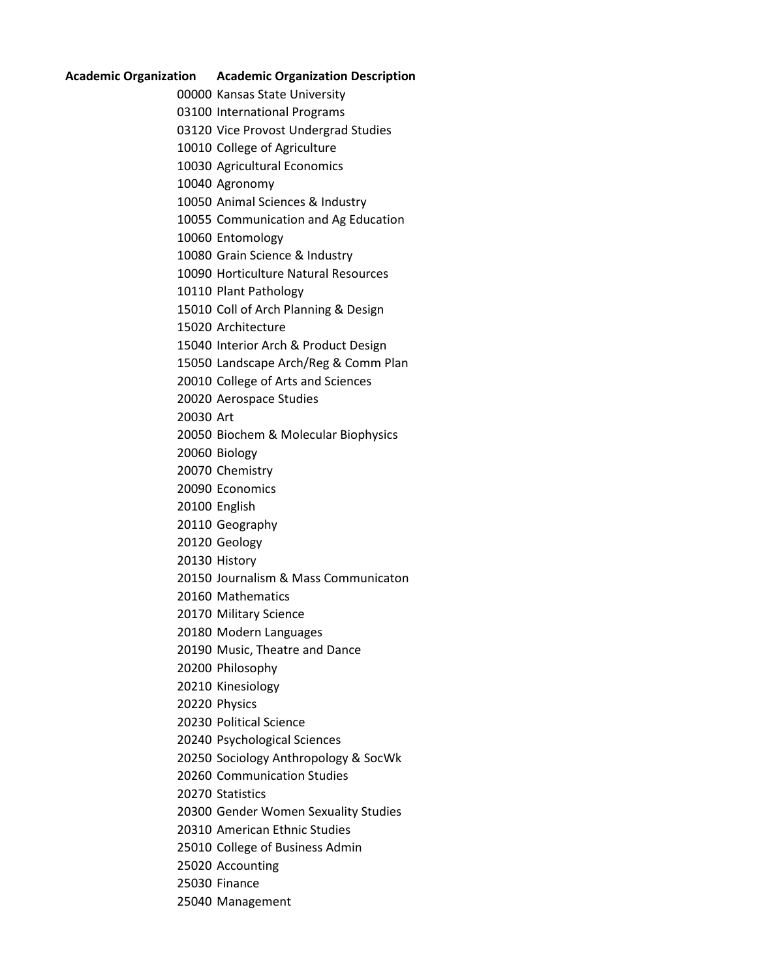## **Academic Organization Academic Organization Description**

Kansas State University

International Programs

Vice Provost Undergrad Studies

College of Agriculture

Agricultural Economics

Agronomy

Animal Sciences & Industry

Communication and Ag Education

Entomology

Grain Science & Industry

Horticulture Natural Resources

Plant Pathology

Coll of Arch Planning & Design

Architecture

Interior Arch & Product Design

Landscape Arch/Reg & Comm Plan

College of Arts and Sciences

Aerospace Studies

Art

Biochem & Molecular Biophysics

Biology

Chemistry

Economics

English

Geography

Geology

History

Journalism & Mass Communicaton

Mathematics

Military Science

Modern Languages

Music, Theatre and Dance

Philosophy

Kinesiology

Physics

Political Science

Psychological Sciences

Sociology Anthropology & SocWk

Communication Studies

Statistics

Gender Women Sexuality Studies

American Ethnic Studies

College of Business Admin

Accounting

Finance

Management